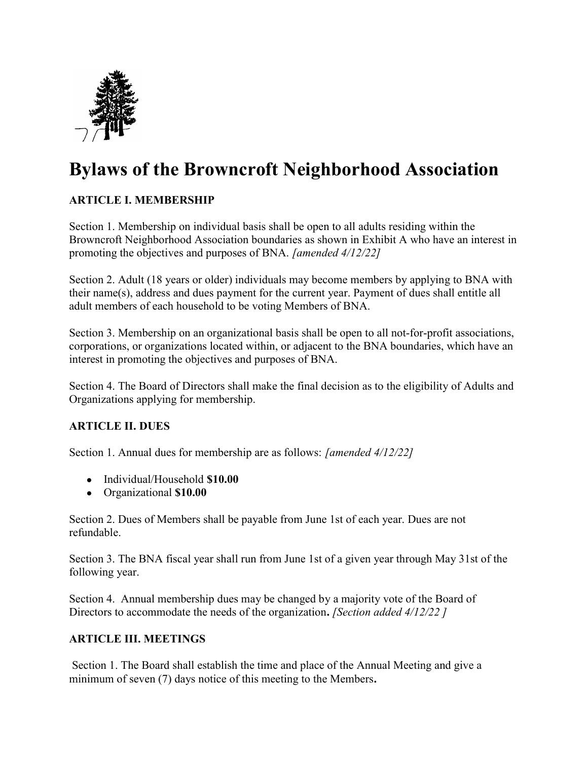

# Bylaws of the Browncroft Neighborhood Association

## ARTICLE I. MEMBERSHIP

Section 1. Membership on individual basis shall be open to all adults residing within the Browncroft Neighborhood Association boundaries as shown in Exhibit A who have an interest in promoting the objectives and purposes of BNA. [amended 4/12/22]

Section 2. Adult (18 years or older) individuals may become members by applying to BNA with their name(s), address and dues payment for the current year. Payment of dues shall entitle all adult members of each household to be voting Members of BNA.

Section 3. Membership on an organizational basis shall be open to all not-for-profit associations, corporations, or organizations located within, or adjacent to the BNA boundaries, which have an interest in promoting the objectives and purposes of BNA.

Section 4. The Board of Directors shall make the final decision as to the eligibility of Adults and Organizations applying for membership.

## ARTICLE II. DUES

Section 1. Annual dues for membership are as follows: [amended 4/12/22]

- Individual/Household \$10.00
- Organizational \$10.00

Section 2. Dues of Members shall be payable from June 1st of each year. Dues are not refundable.

Section 3. The BNA fiscal year shall run from June 1st of a given year through May 31st of the following year.

Section 4. Annual membership dues may be changed by a majority vote of the Board of Directors to accommodate the needs of the organization. *[Section added 4/12/22]* 

#### ARTICLE III. MEETINGS

 Section 1. The Board shall establish the time and place of the Annual Meeting and give a minimum of seven (7) days notice of this meeting to the Members.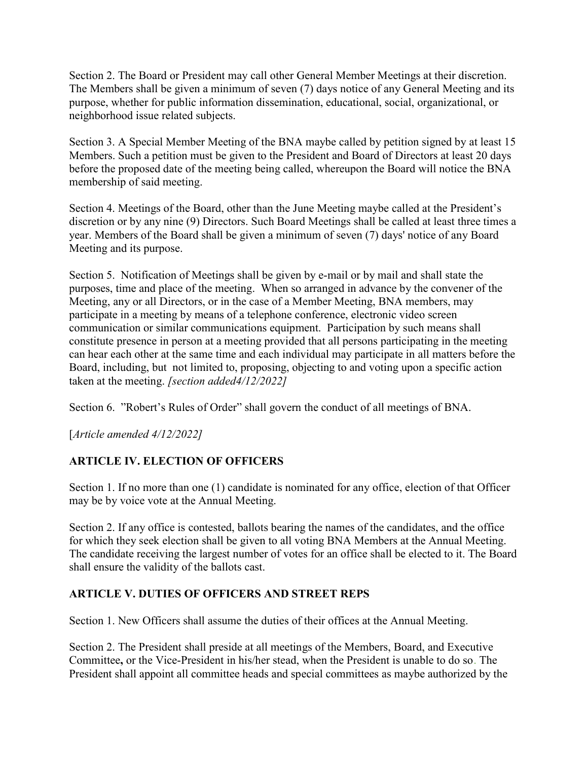Section 2. The Board or President may call other General Member Meetings at their discretion. The Members shall be given a minimum of seven (7) days notice of any General Meeting and its purpose, whether for public information dissemination, educational, social, organizational, or neighborhood issue related subjects.

Section 3. A Special Member Meeting of the BNA maybe called by petition signed by at least 15 Members. Such a petition must be given to the President and Board of Directors at least 20 days before the proposed date of the meeting being called, whereupon the Board will notice the BNA membership of said meeting.

Section 4. Meetings of the Board, other than the June Meeting maybe called at the President's discretion or by any nine (9) Directors. Such Board Meetings shall be called at least three times a year. Members of the Board shall be given a minimum of seven (7) days' notice of any Board Meeting and its purpose.

Section 5. Notification of Meetings shall be given by e-mail or by mail and shall state the purposes, time and place of the meeting. When so arranged in advance by the convener of the Meeting, any or all Directors, or in the case of a Member Meeting, BNA members, may participate in a meeting by means of a telephone conference, electronic video screen communication or similar communications equipment. Participation by such means shall constitute presence in person at a meeting provided that all persons participating in the meeting can hear each other at the same time and each individual may participate in all matters before the Board, including, but not limited to, proposing, objecting to and voting upon a specific action taken at the meeting. *[section added4/12/2022]* 

Section 6. "Robert's Rules of Order" shall govern the conduct of all meetings of BNA.

[Article amended 4/12/2022]

## ARTICLE IV. ELECTION OF OFFICERS

Section 1. If no more than one (1) candidate is nominated for any office, election of that Officer may be by voice vote at the Annual Meeting.

Section 2. If any office is contested, ballots bearing the names of the candidates, and the office for which they seek election shall be given to all voting BNA Members at the Annual Meeting. The candidate receiving the largest number of votes for an office shall be elected to it. The Board shall ensure the validity of the ballots cast.

## ARTICLE V. DUTIES OF OFFICERS AND STREET REPS

Section 1. New Officers shall assume the duties of their offices at the Annual Meeting.

Section 2. The President shall preside at all meetings of the Members, Board, and Executive Committee, or the Vice-President in his/her stead, when the President is unable to do so. The President shall appoint all committee heads and special committees as maybe authorized by the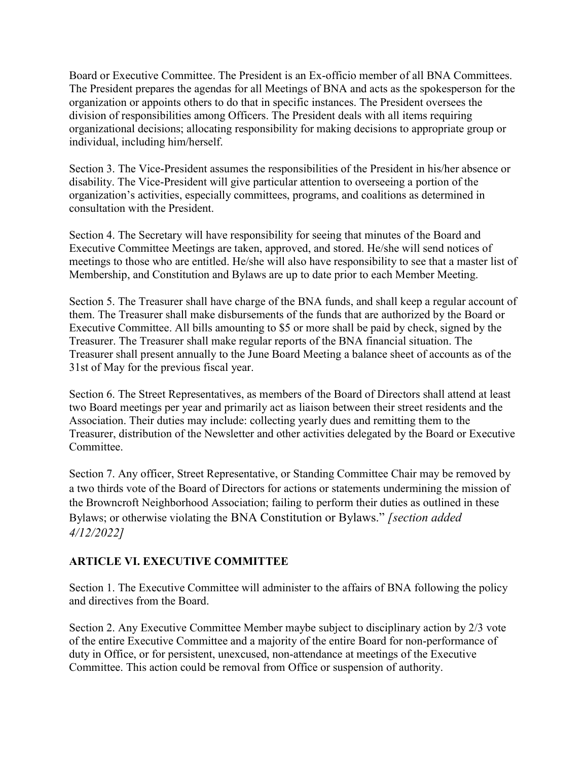Board or Executive Committee. The President is an Ex-officio member of all BNA Committees. The President prepares the agendas for all Meetings of BNA and acts as the spokesperson for the organization or appoints others to do that in specific instances. The President oversees the division of responsibilities among Officers. The President deals with all items requiring organizational decisions; allocating responsibility for making decisions to appropriate group or individual, including him/herself.

Section 3. The Vice-President assumes the responsibilities of the President in his/her absence or disability. The Vice-President will give particular attention to overseeing a portion of the organization's activities, especially committees, programs, and coalitions as determined in consultation with the President.

Section 4. The Secretary will have responsibility for seeing that minutes of the Board and Executive Committee Meetings are taken, approved, and stored. He/she will send notices of meetings to those who are entitled. He/she will also have responsibility to see that a master list of Membership, and Constitution and Bylaws are up to date prior to each Member Meeting.

Section 5. The Treasurer shall have charge of the BNA funds, and shall keep a regular account of them. The Treasurer shall make disbursements of the funds that are authorized by the Board or Executive Committee. All bills amounting to \$5 or more shall be paid by check, signed by the Treasurer. The Treasurer shall make regular reports of the BNA financial situation. The Treasurer shall present annually to the June Board Meeting a balance sheet of accounts as of the 31st of May for the previous fiscal year.

Section 6. The Street Representatives, as members of the Board of Directors shall attend at least two Board meetings per year and primarily act as liaison between their street residents and the Association. Their duties may include: collecting yearly dues and remitting them to the Treasurer, distribution of the Newsletter and other activities delegated by the Board or Executive Committee.

Section 7. Any officer, Street Representative, or Standing Committee Chair may be removed by a two thirds vote of the Board of Directors for actions or statements undermining the mission of the Browncroft Neighborhood Association; failing to perform their duties as outlined in these Bylaws; or otherwise violating the BNA Constitution or Bylaws." [section added 4/12/2022]

## ARTICLE VI. EXECUTIVE COMMITTEE

Section 1. The Executive Committee will administer to the affairs of BNA following the policy and directives from the Board.

Section 2. Any Executive Committee Member maybe subject to disciplinary action by 2/3 vote of the entire Executive Committee and a majority of the entire Board for non-performance of duty in Office, or for persistent, unexcused, non-attendance at meetings of the Executive Committee. This action could be removal from Office or suspension of authority.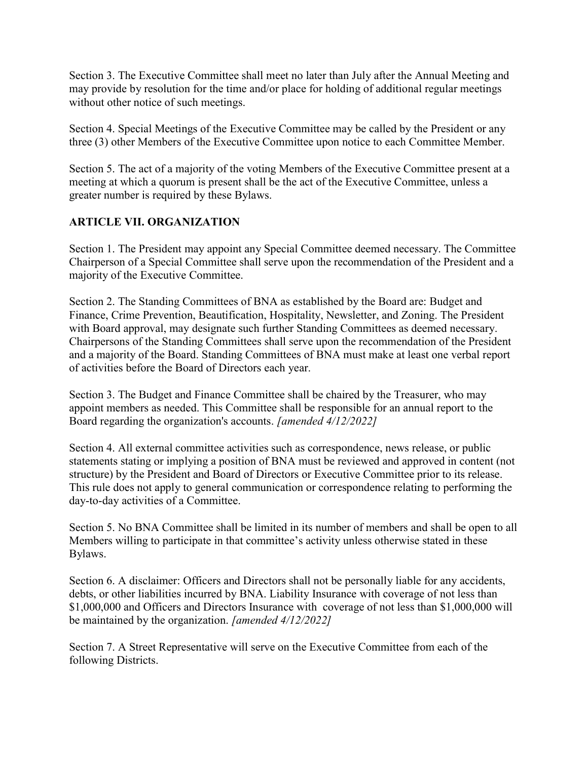Section 3. The Executive Committee shall meet no later than July after the Annual Meeting and may provide by resolution for the time and/or place for holding of additional regular meetings without other notice of such meetings.

Section 4. Special Meetings of the Executive Committee may be called by the President or any three (3) other Members of the Executive Committee upon notice to each Committee Member.

Section 5. The act of a majority of the voting Members of the Executive Committee present at a meeting at which a quorum is present shall be the act of the Executive Committee, unless a greater number is required by these Bylaws.

## ARTICLE VII. ORGANIZATION

Section 1. The President may appoint any Special Committee deemed necessary. The Committee Chairperson of a Special Committee shall serve upon the recommendation of the President and a majority of the Executive Committee.

Section 2. The Standing Committees of BNA as established by the Board are: Budget and Finance, Crime Prevention, Beautification, Hospitality, Newsletter, and Zoning. The President with Board approval, may designate such further Standing Committees as deemed necessary. Chairpersons of the Standing Committees shall serve upon the recommendation of the President and a majority of the Board. Standing Committees of BNA must make at least one verbal report of activities before the Board of Directors each year.

Section 3. The Budget and Finance Committee shall be chaired by the Treasurer, who may appoint members as needed. This Committee shall be responsible for an annual report to the Board regarding the organization's accounts. [amended 4/12/2022]

Section 4. All external committee activities such as correspondence, news release, or public statements stating or implying a position of BNA must be reviewed and approved in content (not structure) by the President and Board of Directors or Executive Committee prior to its release. This rule does not apply to general communication or correspondence relating to performing the day-to-day activities of a Committee.

Section 5. No BNA Committee shall be limited in its number of members and shall be open to all Members willing to participate in that committee's activity unless otherwise stated in these Bylaws.

Section 6. A disclaimer: Officers and Directors shall not be personally liable for any accidents, debts, or other liabilities incurred by BNA. Liability Insurance with coverage of not less than \$1,000,000 and Officers and Directors Insurance with coverage of not less than \$1,000,000 will be maintained by the organization. *[amended*  $4/12/2022$ *]* 

Section 7. A Street Representative will serve on the Executive Committee from each of the following Districts.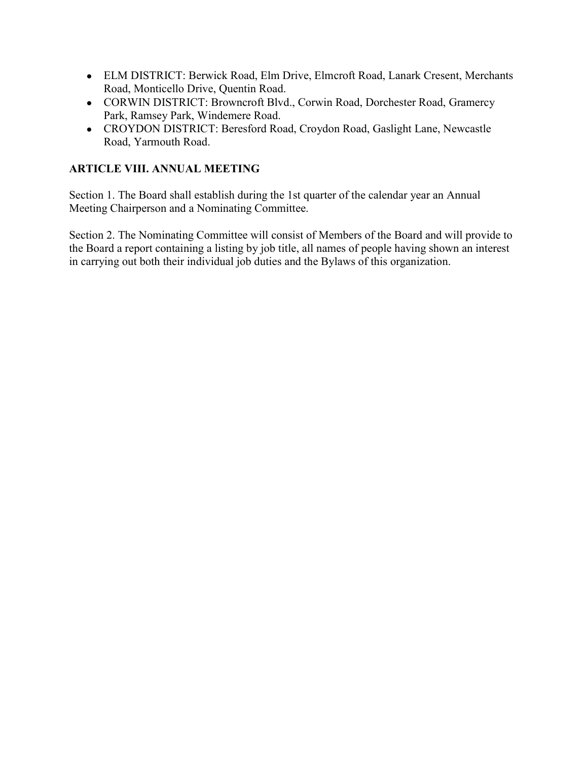- ELM DISTRICT: Berwick Road, Elm Drive, Elmcroft Road, Lanark Cresent, Merchants Road, Monticello Drive, Quentin Road.
- CORWIN DISTRICT: Browncroft Blvd., Corwin Road, Dorchester Road, Gramercy Park, Ramsey Park, Windemere Road.
- CROYDON DISTRICT: Beresford Road, Croydon Road, Gaslight Lane, Newcastle Road, Yarmouth Road.

## ARTICLE VIII. ANNUAL MEETING

Section 1. The Board shall establish during the 1st quarter of the calendar year an Annual Meeting Chairperson and a Nominating Committee.

Section 2. The Nominating Committee will consist of Members of the Board and will provide to the Board a report containing a listing by job title, all names of people having shown an interest in carrying out both their individual job duties and the Bylaws of this organization.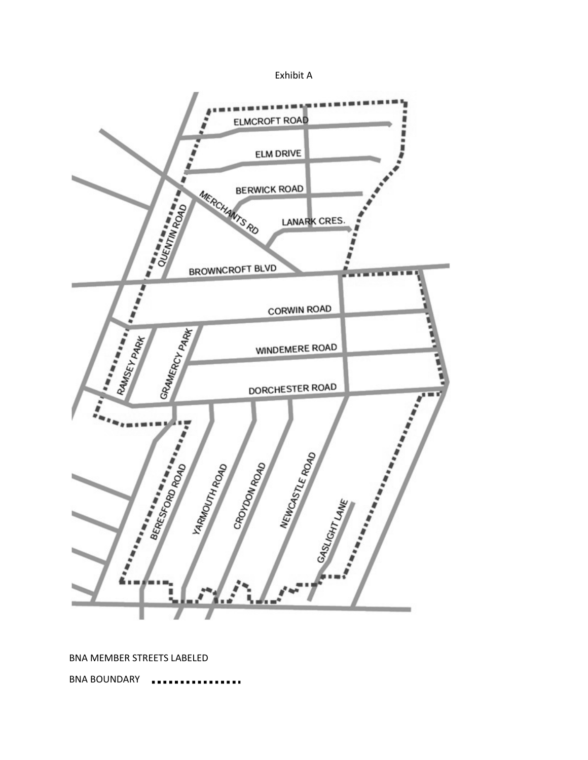



BNA MEMBER STREETS LABELED

BNA BOUNDARY